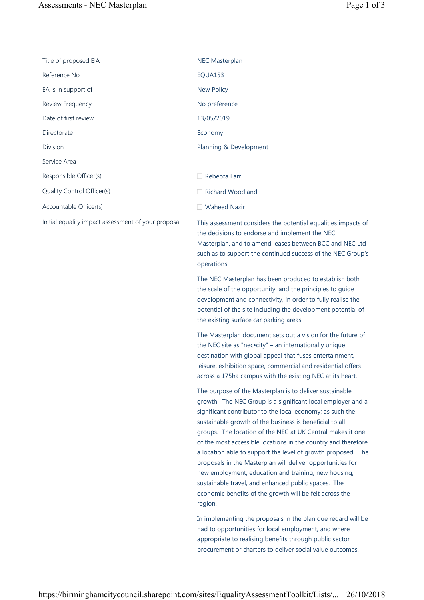| Title of proposed EIA                               | <b>NEC Masterplan</b>                                                                                                                                                                                                                                    |
|-----------------------------------------------------|----------------------------------------------------------------------------------------------------------------------------------------------------------------------------------------------------------------------------------------------------------|
| Reference No                                        | EQUA153                                                                                                                                                                                                                                                  |
| EA is in support of                                 | <b>New Policy</b>                                                                                                                                                                                                                                        |
| Review Frequency                                    | No preference                                                                                                                                                                                                                                            |
| Date of first review                                | 13/05/2019                                                                                                                                                                                                                                               |
| Directorate                                         | Economy                                                                                                                                                                                                                                                  |
| Division                                            | Planning & Development                                                                                                                                                                                                                                   |
| Service Area                                        |                                                                                                                                                                                                                                                          |
| Responsible Officer(s)                              | Rebecca Farr                                                                                                                                                                                                                                             |
| Quality Control Officer(s)                          | <b>Richard Woodland</b>                                                                                                                                                                                                                                  |
| Accountable Officer(s)                              | <b>Waheed Nazir</b>                                                                                                                                                                                                                                      |
| Initial equality impact assessment of your proposal | This assessment considers the potential equalities impacts of<br>the decisions to endorse and implement the NEC<br>Masterplan, and to amend leases between BCC and NEC Ltd<br>such as to support the continued success of the NEC Group's<br>operations. |
|                                                     | The NEC Masterplan has been produced to establish both                                                                                                                                                                                                   |

the scale of the opportunity, and the principles to guide development and connectivity, in order to fully realise the potential of the site including the development potential of the existing surface car parking areas.

The Masterplan document sets out a vision for the future of the NEC site as "nec•city" – an internationally unique destination with global appeal that fuses entertainment, leisure, exhibition space, commercial and residential offers across a 175ha campus with the existing NEC at its heart.

The purpose of the Masterplan is to deliver sustainable growth. The NEC Group is a significant local employer and a significant contributor to the local economy; as such the sustainable growth of the business is beneficial to all groups. The location of the NEC at UK Central makes it one of the most accessible locations in the country and therefore a location able to support the level of growth proposed. The proposals in the Masterplan will deliver opportunities for new employment, education and training, new housing, sustainable travel, and enhanced public spaces. The economic benefits of the growth will be felt across the region.

In implementing the proposals in the plan due regard will be had to opportunities for local employment, and where appropriate to realising benefits through public sector procurement or charters to deliver social value outcomes.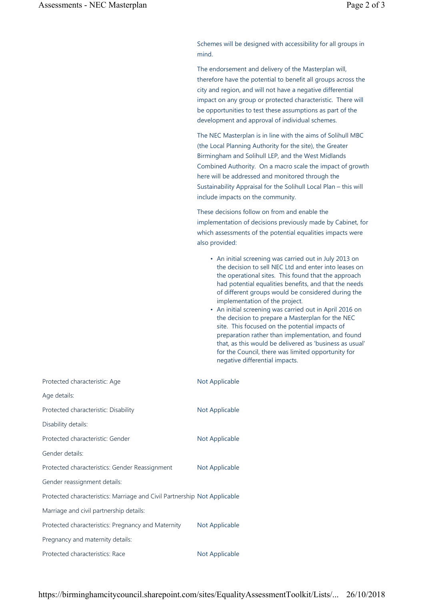Schemes will be designed with accessibility for all groups in mind.

The endorsement and delivery of the Masterplan will, therefore have the potential to benefit all groups across the city and region, and will not have a negative differential impact on any group or protected characteristic. There will be opportunities to test these assumptions as part of the development and approval of individual schemes.

The NEC Masterplan is in line with the aims of Solihull MBC (the Local Planning Authority for the site), the Greater Birmingham and Solihull LEP, and the West Midlands Combined Authority. On a macro scale the impact of growth here will be addressed and monitored through the Sustainability Appraisal for the Solihull Local Plan – this will include impacts on the community.

These decisions follow on from and enable the implementation of decisions previously made by Cabinet, for which assessments of the potential equalities impacts were also provided:

- An initial screening was carried out in July 2013 on the decision to sell NEC Ltd and enter into leases on the operational sites. This found that the approach had potential equalities benefits, and that the needs of different groups would be considered during the implementation of the project.
- An initial screening was carried out in April 2016 on the decision to prepare a Masterplan for the NEC site. This focused on the potential impacts of preparation rather than implementation, and found that, as this would be delivered as 'business as usual' for the Council, there was limited opportunity for negative differential impacts.

| Protected characteristic: Age                                            | Not Applicable |
|--------------------------------------------------------------------------|----------------|
| Age details:                                                             |                |
| Protected characteristic: Disability                                     | Not Applicable |
| Disability details:                                                      |                |
| Protected characteristic: Gender                                         | Not Applicable |
| Gender details:                                                          |                |
| Protected characteristics: Gender Reassignment                           | Not Applicable |
| Gender reassignment details:                                             |                |
| Protected characteristics: Marriage and Civil Partnership Not Applicable |                |
| Marriage and civil partnership details:                                  |                |
| Protected characteristics: Pregnancy and Maternity                       | Not Applicable |
| Pregnancy and maternity details:                                         |                |
| Protected characteristics: Race                                          | Not Applicable |